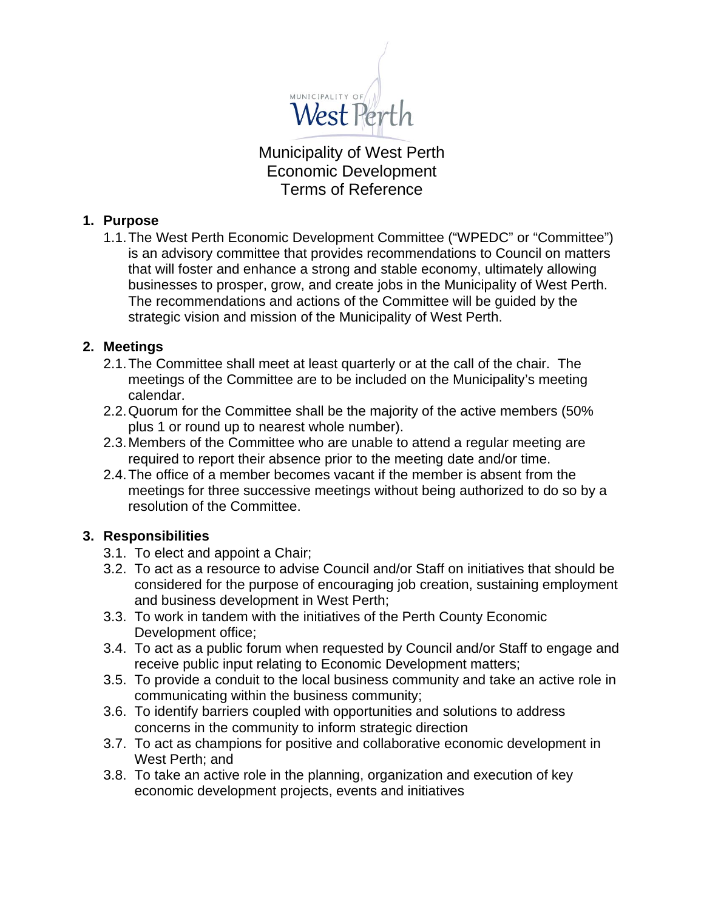

Municipality of West Perth Economic Development Terms of Reference

## **1. Purpose**

1.1.The West Perth Economic Development Committee ("WPEDC" or "Committee") is an advisory committee that provides recommendations to Council on matters that will foster and enhance a strong and stable economy, ultimately allowing businesses to prosper, grow, and create jobs in the Municipality of West Perth. The recommendations and actions of the Committee will be guided by the strategic vision and mission of the Municipality of West Perth.

# **2. Meetings**

- 2.1.The Committee shall meet at least quarterly or at the call of the chair. The meetings of the Committee are to be included on the Municipality's meeting calendar.
- 2.2.Quorum for the Committee shall be the majority of the active members (50% plus 1 or round up to nearest whole number).
- 2.3.Members of the Committee who are unable to attend a regular meeting are required to report their absence prior to the meeting date and/or time.
- 2.4.The office of a member becomes vacant if the member is absent from the meetings for three successive meetings without being authorized to do so by a resolution of the Committee.

# **3. Responsibilities**

- 3.1. To elect and appoint a Chair;
- 3.2. To act as a resource to advise Council and/or Staff on initiatives that should be considered for the purpose of encouraging job creation, sustaining employment and business development in West Perth;
- 3.3. To work in tandem with the initiatives of the Perth County Economic Development office;
- 3.4. To act as a public forum when requested by Council and/or Staff to engage and receive public input relating to Economic Development matters;
- 3.5. To provide a conduit to the local business community and take an active role in communicating within the business community;
- 3.6. To identify barriers coupled with opportunities and solutions to address concerns in the community to inform strategic direction
- 3.7. To act as champions for positive and collaborative economic development in West Perth; and
- 3.8. To take an active role in the planning, organization and execution of key economic development projects, events and initiatives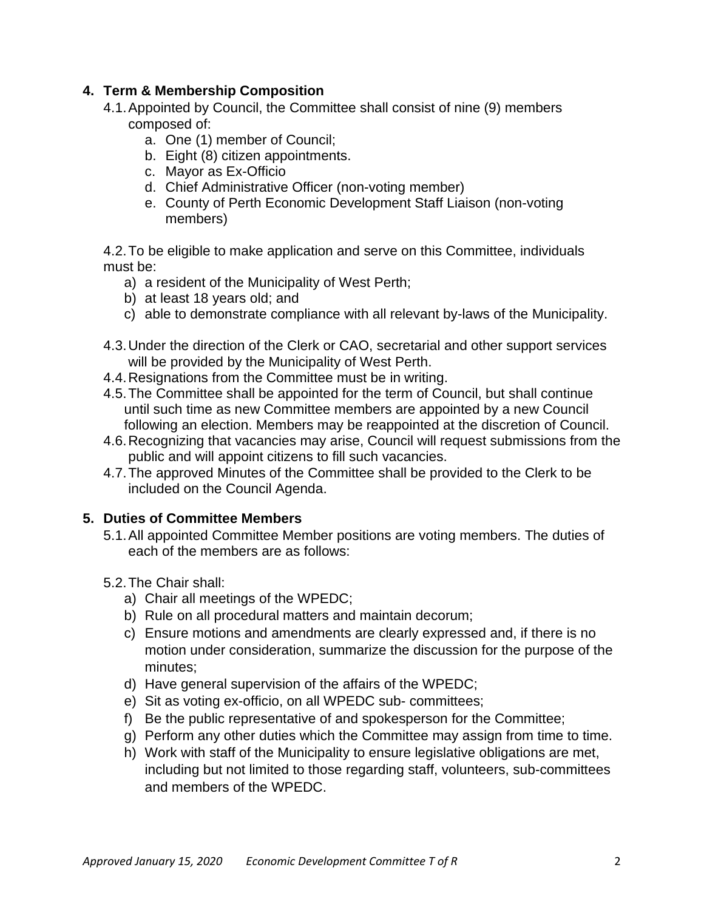## **4. Term & Membership Composition**

- 4.1.Appointed by Council, the Committee shall consist of nine (9) members composed of:
	- a. One (1) member of Council;
	- b. Eight (8) citizen appointments.
	- c. Mayor as Ex-Officio
	- d. Chief Administrative Officer (non-voting member)
	- e. County of Perth Economic Development Staff Liaison (non-voting members)

4.2.To be eligible to make application and serve on this Committee, individuals must be:

- a) a resident of the Municipality of West Perth;
- b) at least 18 years old; and
- c) able to demonstrate compliance with all relevant by-laws of the Municipality.
- 4.3.Under the direction of the Clerk or CAO, secretarial and other support services will be provided by the Municipality of West Perth.
- 4.4.Resignations from the Committee must be in writing.
- 4.5.The Committee shall be appointed for the term of Council, but shall continue until such time as new Committee members are appointed by a new Council following an election. Members may be reappointed at the discretion of Council.
- 4.6.Recognizing that vacancies may arise, Council will request submissions from the public and will appoint citizens to fill such vacancies.
- 4.7.The approved Minutes of the Committee shall be provided to the Clerk to be included on the Council Agenda.

# **5. Duties of Committee Members**

- 5.1.All appointed Committee Member positions are voting members. The duties of each of the members are as follows:
- 5.2.The Chair shall:
	- a) Chair all meetings of the WPEDC;
	- b) Rule on all procedural matters and maintain decorum;
	- c) Ensure motions and amendments are clearly expressed and, if there is no motion under consideration, summarize the discussion for the purpose of the minutes;
	- d) Have general supervision of the affairs of the WPEDC;
	- e) Sit as voting ex-officio, on all WPEDC sub- committees;
	- f) Be the public representative of and spokesperson for the Committee;
	- g) Perform any other duties which the Committee may assign from time to time.
	- h) Work with staff of the Municipality to ensure legislative obligations are met, including but not limited to those regarding staff, volunteers, sub-committees and members of the WPEDC.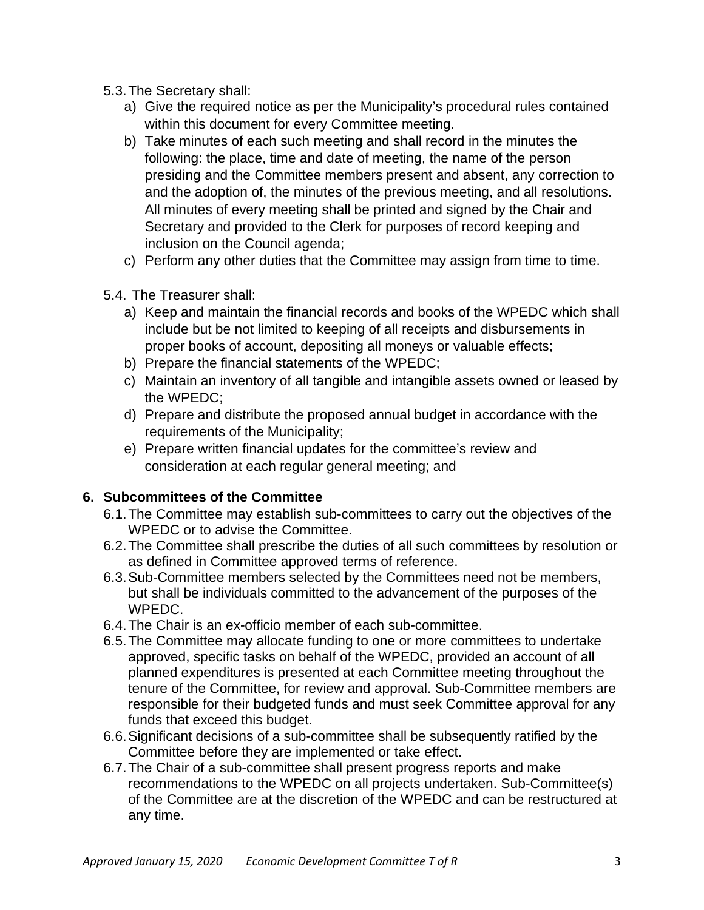- 5.3.The Secretary shall:
	- a) Give the required notice as per the Municipality's procedural rules contained within this document for every Committee meeting.
	- b) Take minutes of each such meeting and shall record in the minutes the following: the place, time and date of meeting, the name of the person presiding and the Committee members present and absent, any correction to and the adoption of, the minutes of the previous meeting, and all resolutions. All minutes of every meeting shall be printed and signed by the Chair and Secretary and provided to the Clerk for purposes of record keeping and inclusion on the Council agenda;
	- c) Perform any other duties that the Committee may assign from time to time.
- 5.4. The Treasurer shall:
	- a) Keep and maintain the financial records and books of the WPEDC which shall include but be not limited to keeping of all receipts and disbursements in proper books of account, depositing all moneys or valuable effects;
	- b) Prepare the financial statements of the WPEDC;
	- c) Maintain an inventory of all tangible and intangible assets owned or leased by the WPEDC;
	- d) Prepare and distribute the proposed annual budget in accordance with the requirements of the Municipality;
	- e) Prepare written financial updates for the committee's review and consideration at each regular general meeting; and

# **6. Subcommittees of the Committee**

- 6.1.The Committee may establish sub-committees to carry out the objectives of the WPEDC or to advise the Committee.
- 6.2.The Committee shall prescribe the duties of all such committees by resolution or as defined in Committee approved terms of reference.
- 6.3.Sub-Committee members selected by the Committees need not be members, but shall be individuals committed to the advancement of the purposes of the WPEDC.
- 6.4.The Chair is an ex-officio member of each sub-committee.
- 6.5.The Committee may allocate funding to one or more committees to undertake approved, specific tasks on behalf of the WPEDC, provided an account of all planned expenditures is presented at each Committee meeting throughout the tenure of the Committee, for review and approval. Sub-Committee members are responsible for their budgeted funds and must seek Committee approval for any funds that exceed this budget.
- 6.6.Significant decisions of a sub-committee shall be subsequently ratified by the Committee before they are implemented or take effect.
- 6.7.The Chair of a sub-committee shall present progress reports and make recommendations to the WPEDC on all projects undertaken. Sub-Committee(s) of the Committee are at the discretion of the WPEDC and can be restructured at any time.